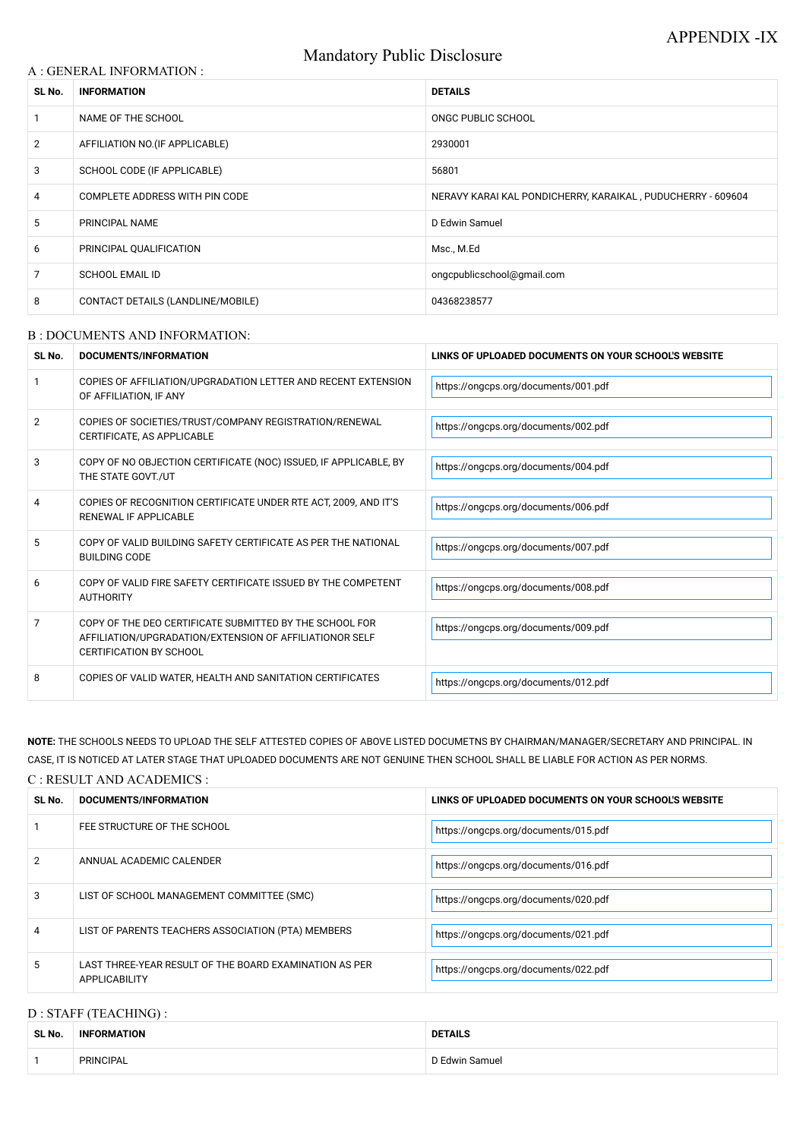# Mandatory Public Disclosure

### A : GENERAL INFORMATION :

| SL No.         | <b>INFORMATION</b>                | <b>DETAILS</b>                                              |  |
|----------------|-----------------------------------|-------------------------------------------------------------|--|
|                | NAME OF THE SCHOOL                | ONGC PUBLIC SCHOOL                                          |  |
| $\overline{2}$ | AFFILIATION NO. (IF APPLICABLE)   | 2930001                                                     |  |
| 3              | SCHOOL CODE (IF APPLICABLE)       | 56801                                                       |  |
| 4              | COMPLETE ADDRESS WITH PIN CODE    | NERAVY KARAI KAL PONDICHERRY, KARAIKAL, PUDUCHERRY - 609604 |  |
| 5              | PRINCIPAL NAME                    | D Edwin Samuel                                              |  |
| 6              | PRINCIPAL QUALIFICATION           | Msc., M.Ed                                                  |  |
| 7              | <b>SCHOOL EMAIL ID</b>            | ongcpublicschool@gmail.com                                  |  |
| 8              | CONTACT DETAILS (LANDLINE/MOBILE) | 04368238577                                                 |  |

#### B : DOCUMENTS AND INFORMATION:

| SL No.         | <b>DOCUMENTS/INFORMATION</b>                                                                                                                         | LINKS OF UPLOADED DOCUMENTS ON YOUR SCHOOL'S WEBSITE |  |
|----------------|------------------------------------------------------------------------------------------------------------------------------------------------------|------------------------------------------------------|--|
|                | COPIES OF AFFILIATION/UPGRADATION LETTER AND RECENT EXTENSION<br>OF AFFILIATION, IF ANY                                                              | https://ongcps.org/documents/001.pdf                 |  |
| $\overline{2}$ | COPIES OF SOCIETIES/TRUST/COMPANY REGISTRATION/RENEWAL<br>CERTIFICATE, AS APPLICABLE                                                                 | https://ongcps.org/documents/002.pdf                 |  |
| 3              | COPY OF NO OBJECTION CERTIFICATE (NOC) ISSUED, IF APPLICABLE, BY<br>THE STATE GOVT./UT                                                               | https://ongcps.org/documents/004.pdf                 |  |
| 4              | COPIES OF RECOGNITION CERTIFICATE UNDER RTE ACT, 2009, AND IT'S<br>RENEWAL IF APPLICABLE                                                             | https://ongcps.org/documents/006.pdf                 |  |
| 5              | COPY OF VALID BUILDING SAFETY CERTIFICATE AS PER THE NATIONAL<br><b>BUILDING CODE</b>                                                                | https://ongcps.org/documents/007.pdf                 |  |
| 6              | COPY OF VALID FIRE SAFETY CERTIFICATE ISSUED BY THE COMPETENT<br><b>AUTHORITY</b>                                                                    | https://ongcps.org/documents/008.pdf                 |  |
| $\overline{7}$ | COPY OF THE DEO CERTIFICATE SUBMITTED BY THE SCHOOL FOR<br>AFFILIATION/UPGRADATION/EXTENSION OF AFFILIATIONOR SELF<br><b>CERTIFICATION BY SCHOOL</b> | https://ongcps.org/documents/009.pdf                 |  |
| 8              | COPIES OF VALID WATER, HEALTH AND SANITATION CERTIFICATES                                                                                            | https://ongcps.org/documents/012.pdf                 |  |

| $\mathcal{P}$ | ANNUAL ACADEMIC CALENDER                                                       | https://ongcps.org/documents/016.pdf |
|---------------|--------------------------------------------------------------------------------|--------------------------------------|
| 3             | LIST OF SCHOOL MANAGEMENT COMMITTEE (SMC)                                      | https://ongcps.org/documents/020.pdf |
|               | LIST OF PARENTS TEACHERS ASSOCIATION (PTA) MEMBERS                             | https://ongcps.org/documents/021.pdf |
| 5             | LAST THREE-YEAR RESULT OF THE BOARD EXAMINATION AS PER<br><b>APPLICABILITY</b> | https://ongcps.org/documents/022.pdf |

**NOTE:** THE SCHOOLS NEEDS TO UPLOAD THE SELF ATTESTED COPIES OF ABOVE LISTED DOCUMETNS BY CHAIRMAN/MANAGER/SECRETARY AND PRINCIPAL. IN CASE, IT IS NOTICED AT LATER STAGE THAT UPLOADED DOCUMENTS ARE NOT GENUINE THEN SCHOOL SHALL BE LIABLE FOR ACTION AS PER NORMS.

### C : RESULT AND ACADEMICS :

| SL No. | DOCUMENTS/INFORMATION       | LINKS OF UPLOADED DOCUMENTS ON YOUR SCHOOL'S WEBSITE |  |
|--------|-----------------------------|------------------------------------------------------|--|
|        | FEE STRUCTURE OF THE SCHOOL | https://ongcps.org/documents/015.pdf                 |  |
|        | ANINITAL ACADEMIC CALENDED  |                                                      |  |

## D : STAFF (TEACHING) :

| SL No. | <b>INFORMATION</b> | <b>DETAILS</b> |  |
|--------|--------------------|----------------|--|
|        | PRINCIPAL          | D Edwin Samuel |  |